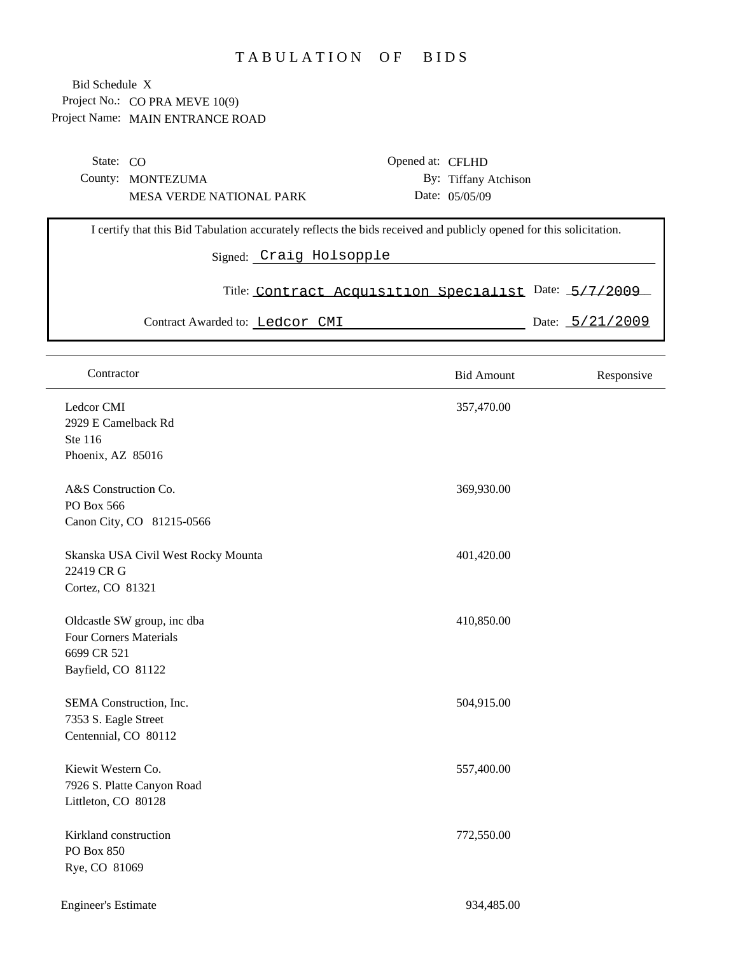## TABULATION OF BIDS

Project No.: CO PRA MEVE 10(9) Project Name: MAIN ENTRANCE ROAD Bid Schedule X

| State: $CO$ |                                                                                                                                                |  | Opened at: CFLHD                                      |                      |  |                                     |  |
|-------------|------------------------------------------------------------------------------------------------------------------------------------------------|--|-------------------------------------------------------|----------------------|--|-------------------------------------|--|
|             | County: MONTEZUMA                                                                                                                              |  |                                                       | By: Tiffany Atchison |  |                                     |  |
|             | <b>MESA VERDE NATIONAL PARK</b>                                                                                                                |  |                                                       | Date: 05/05/09       |  |                                     |  |
|             | I certify that this Bid Tabulation accurately reflects the bids received and publicly opened for this solicitation.<br>Signed: Craig Holsopple |  |                                                       |                      |  |                                     |  |
|             |                                                                                                                                                |  | Title: Contract Acquisition Specialist Date: 5/7/2009 |                      |  |                                     |  |
|             | Contract Awarded to: Ledcor CMI                                                                                                                |  |                                                       |                      |  | Date: $\frac{5}{21}/\frac{2009}{9}$ |  |

| Contractor                                                                                        | <b>Bid Amount</b> | Responsive |
|---------------------------------------------------------------------------------------------------|-------------------|------------|
| Ledcor CMI<br>2929 E Camelback Rd<br>Ste 116<br>Phoenix, AZ 85016                                 | 357,470.00        |            |
| A&S Construction Co.<br>PO Box 566<br>Canon City, CO 81215-0566                                   | 369,930.00        |            |
| Skanska USA Civil West Rocky Mounta<br>22419 CR G<br>Cortez, CO 81321                             | 401,420.00        |            |
| Oldcastle SW group, inc dba<br><b>Four Corners Materials</b><br>6699 CR 521<br>Bayfield, CO 81122 | 410,850.00        |            |
| SEMA Construction, Inc.<br>7353 S. Eagle Street<br>Centennial, CO 80112                           | 504,915.00        |            |
| Kiewit Western Co.<br>7926 S. Platte Canyon Road<br>Littleton, CO 80128                           | 557,400.00        |            |
| Kirkland construction<br>PO Box 850<br>Rye, CO 81069                                              | 772,550.00        |            |

Engineer's Estimate 934,485.00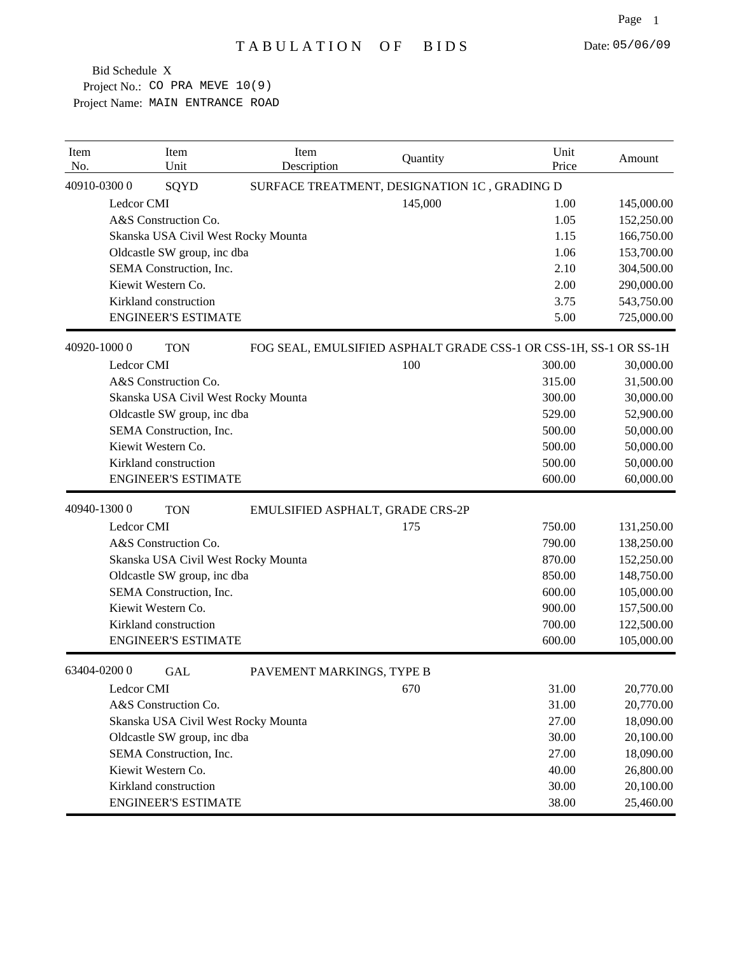Project No.: CO PRA MEVE 10(9) Project Name: MAIN ENTRANCE ROAD Bid Schedule X

| Item<br>No. | Item<br>Unit                | Item<br>Description                 | Quantity                                                          | Unit<br>Price | Amount     |
|-------------|-----------------------------|-------------------------------------|-------------------------------------------------------------------|---------------|------------|
|             | 40910-03000<br>SQYD         |                                     | SURFACE TREATMENT, DESIGNATION 1C, GRADING D                      |               |            |
|             | Ledcor CMI                  |                                     | 145,000                                                           | 1.00          | 145,000.00 |
|             | A&S Construction Co.        |                                     |                                                                   | 1.05          | 152,250.00 |
|             |                             | Skanska USA Civil West Rocky Mounta |                                                                   | 1.15          | 166,750.00 |
|             | Oldcastle SW group, inc dba |                                     |                                                                   | 1.06          | 153,700.00 |
|             | SEMA Construction, Inc.     |                                     |                                                                   | 2.10          | 304,500.00 |
|             | Kiewit Western Co.          |                                     |                                                                   | 2.00          | 290,000.00 |
|             | Kirkland construction       |                                     |                                                                   | 3.75          | 543,750.00 |
|             | <b>ENGINEER'S ESTIMATE</b>  |                                     |                                                                   | 5.00          | 725,000.00 |
|             | 40920-10000<br><b>TON</b>   |                                     | FOG SEAL, EMULSIFIED ASPHALT GRADE CSS-1 OR CSS-1H, SS-1 OR SS-1H |               |            |
|             | Ledcor CMI                  |                                     | 100                                                               | 300.00        | 30,000.00  |
|             | A&S Construction Co.        |                                     |                                                                   | 315.00        | 31,500.00  |
|             |                             | Skanska USA Civil West Rocky Mounta |                                                                   | 300.00        | 30,000.00  |
|             | Oldcastle SW group, inc dba |                                     |                                                                   | 529.00        | 52,900.00  |
|             | SEMA Construction, Inc.     |                                     |                                                                   | 500.00        | 50,000.00  |
|             | Kiewit Western Co.          |                                     |                                                                   | 500.00        | 50,000.00  |
|             | Kirkland construction       |                                     |                                                                   | 500.00        | 50,000.00  |
|             | <b>ENGINEER'S ESTIMATE</b>  |                                     |                                                                   | 600.00        | 60,000.00  |
|             | 40940-13000<br><b>TON</b>   | EMULSIFIED ASPHALT, GRADE CRS-2P    |                                                                   |               |            |
|             | Ledcor CMI                  |                                     | 175                                                               | 750.00        | 131,250.00 |
|             | A&S Construction Co.        |                                     |                                                                   | 790.00        | 138,250.00 |
|             |                             | Skanska USA Civil West Rocky Mounta |                                                                   | 870.00        | 152,250.00 |
|             | Oldcastle SW group, inc dba |                                     |                                                                   | 850.00        | 148,750.00 |
|             | SEMA Construction, Inc.     |                                     |                                                                   | 600.00        | 105,000.00 |
|             | Kiewit Western Co.          |                                     |                                                                   | 900.00        | 157,500.00 |
|             | Kirkland construction       |                                     |                                                                   | 700.00        | 122,500.00 |
|             | <b>ENGINEER'S ESTIMATE</b>  |                                     |                                                                   | 600.00        | 105,000.00 |
|             | 63404-02000<br><b>GAL</b>   | PAVEMENT MARKINGS, TYPE B           |                                                                   |               |            |
|             | Ledcor CMI                  |                                     | 670                                                               | 31.00         | 20,770.00  |
|             | A&S Construction Co.        |                                     |                                                                   | 31.00         | 20,770.00  |
|             |                             | Skanska USA Civil West Rocky Mounta |                                                                   | 27.00         | 18,090.00  |
|             | Oldcastle SW group, inc dba |                                     |                                                                   | 30.00         | 20,100.00  |
|             | SEMA Construction, Inc.     |                                     |                                                                   | 27.00         | 18,090.00  |
|             | Kiewit Western Co.          |                                     |                                                                   | 40.00         | 26,800.00  |
|             | Kirkland construction       |                                     |                                                                   | 30.00         | 20,100.00  |
|             | <b>ENGINEER'S ESTIMATE</b>  |                                     |                                                                   | 38.00         | 25,460.00  |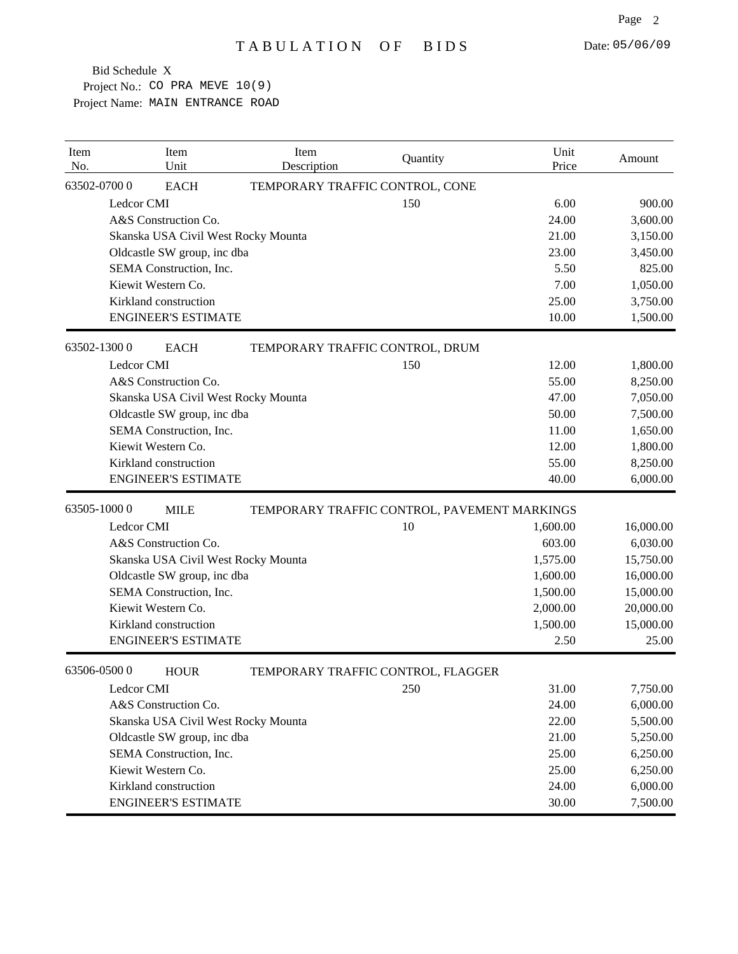Project No.: CO PRA MEVE 10(9) Project Name: MAIN ENTRANCE ROAD Bid Schedule X

| Item<br>No. |             | Item<br>Unit                | Item<br>Description                 | Quantity                                     | Unit<br>Price | Amount    |
|-------------|-------------|-----------------------------|-------------------------------------|----------------------------------------------|---------------|-----------|
|             | 63502-07000 | <b>EACH</b>                 | TEMPORARY TRAFFIC CONTROL, CONE     |                                              |               |           |
|             | Ledcor CMI  |                             |                                     | 150                                          | 6.00          | 900.00    |
|             |             | A&S Construction Co.        |                                     |                                              | 24.00         | 3,600.00  |
|             |             |                             | Skanska USA Civil West Rocky Mounta |                                              | 21.00         | 3,150.00  |
|             |             | Oldcastle SW group, inc dba |                                     |                                              | 23.00         | 3,450.00  |
|             |             | SEMA Construction, Inc.     |                                     |                                              | 5.50          | 825.00    |
|             |             | Kiewit Western Co.          |                                     |                                              | 7.00          | 1,050.00  |
|             |             | Kirkland construction       |                                     |                                              | 25.00         | 3,750.00  |
|             |             | <b>ENGINEER'S ESTIMATE</b>  |                                     |                                              | 10.00         | 1,500.00  |
|             | 63502-13000 | <b>EACH</b>                 | TEMPORARY TRAFFIC CONTROL, DRUM     |                                              |               |           |
|             | Ledcor CMI  |                             |                                     | 150                                          | 12.00         | 1,800.00  |
|             |             | A&S Construction Co.        |                                     |                                              | 55.00         | 8,250.00  |
|             |             |                             | Skanska USA Civil West Rocky Mounta |                                              | 47.00         | 7,050.00  |
|             |             | Oldcastle SW group, inc dba |                                     |                                              | 50.00         | 7,500.00  |
|             |             | SEMA Construction, Inc.     |                                     |                                              | 11.00         | 1,650.00  |
|             |             | Kiewit Western Co.          |                                     |                                              | 12.00         | 1,800.00  |
|             |             | Kirkland construction       |                                     |                                              | 55.00         | 8,250.00  |
|             |             | <b>ENGINEER'S ESTIMATE</b>  |                                     |                                              | 40.00         | 6,000.00  |
| 63505-10000 |             | <b>MILE</b>                 |                                     | TEMPORARY TRAFFIC CONTROL, PAVEMENT MARKINGS |               |           |
|             | Ledcor CMI  |                             |                                     | 10                                           | 1,600.00      | 16,000.00 |
|             |             | A&S Construction Co.        |                                     |                                              | 603.00        | 6,030.00  |
|             |             |                             | Skanska USA Civil West Rocky Mounta |                                              | 1,575.00      | 15,750.00 |
|             |             | Oldcastle SW group, inc dba |                                     |                                              | 1,600.00      | 16,000.00 |
|             |             | SEMA Construction, Inc.     |                                     |                                              | 1,500.00      | 15,000.00 |
|             |             | Kiewit Western Co.          |                                     |                                              | 2,000.00      | 20,000.00 |
|             |             | Kirkland construction       |                                     |                                              | 1,500.00      | 15,000.00 |
|             |             | <b>ENGINEER'S ESTIMATE</b>  |                                     |                                              | 2.50          | 25.00     |
|             | 63506-05000 | <b>HOUR</b>                 |                                     | TEMPORARY TRAFFIC CONTROL, FLAGGER           |               |           |
|             | Ledcor CMI  |                             |                                     | 250                                          | 31.00         | 7,750.00  |
|             |             | A&S Construction Co.        |                                     |                                              | 24.00         | 6,000.00  |
|             |             |                             | Skanska USA Civil West Rocky Mounta |                                              | 22.00         | 5,500.00  |
|             |             | Oldcastle SW group, inc dba |                                     |                                              | 21.00         | 5,250.00  |
|             |             | SEMA Construction, Inc.     |                                     |                                              | 25.00         | 6,250.00  |
|             |             | Kiewit Western Co.          |                                     |                                              | 25.00         | 6,250.00  |
|             |             | Kirkland construction       |                                     |                                              | 24.00         | 6,000.00  |
|             |             | <b>ENGINEER'S ESTIMATE</b>  |                                     |                                              | 30.00         | 7,500.00  |